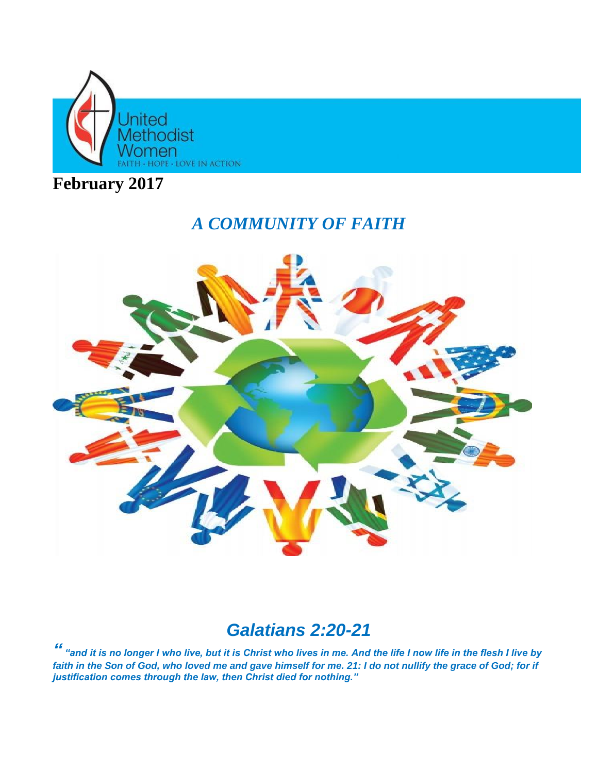

**February 2017**

# *A COMMUNITY OF FAITH*



# *Galatians 2:20-21*

*" "and it is no longer I who live, but it is Christ who lives in me. And the life I now life in the flesh I live by*  faith in the Son of God, who loved me and gave himself for me. 21: I do not nullify the grace of God; for if *justification comes through the law, then Christ died for nothing."*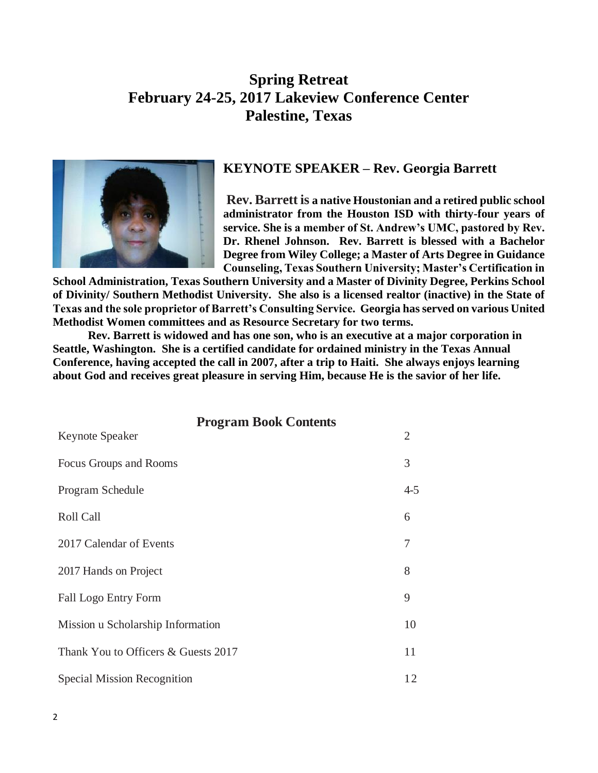### **Spring Retreat February 24-25, 2017 Lakeview Conference Center Palestine, Texas**



#### **KEYNOTE SPEAKER – Rev. Georgia Barrett**

**Rev. Barrett is a native Houstonian and a retired public school administrator from the Houston ISD with thirty-four years of service. She is a member of St. Andrew's UMC, pastored by Rev. Dr. Rhenel Johnson. Rev. Barrett is blessed with a Bachelor Degree from Wiley College; a Master of Arts Degree in Guidance Counseling, Texas Southern University; Master's Certification in** 

**School Administration, Texas Southern University and a Master of Divinity Degree, Perkins School of Divinity/ Southern Methodist University. She also is a licensed realtor (inactive) in the State of Texas and the sole proprietor of Barrett's Consulting Service. Georgia hasserved on various United Methodist Women committees and as Resource Secretary for two terms.** 

**Rev. Barrett is widowed and has one son, who is an executive at a major corporation in Seattle, Washington. She is a certified candidate for ordained ministry in the Texas Annual Conference, having accepted the call in 2007, after a trip to Haiti. She always enjoys learning about God and receives great pleasure in serving Him, because He is the savior of her life.** 

| <b>Program Book Contents</b>        |         |
|-------------------------------------|---------|
| Keynote Speaker                     | 2       |
| Focus Groups and Rooms              | 3       |
| Program Schedule                    | $4 - 5$ |
| <b>Roll Call</b>                    | 6       |
| 2017 Calendar of Events             | 7       |
| 2017 Hands on Project               | 8       |
| Fall Logo Entry Form                | 9       |
| Mission u Scholarship Information   | 10      |
| Thank You to Officers & Guests 2017 | 11      |
| Special Mission Recognition         | 12      |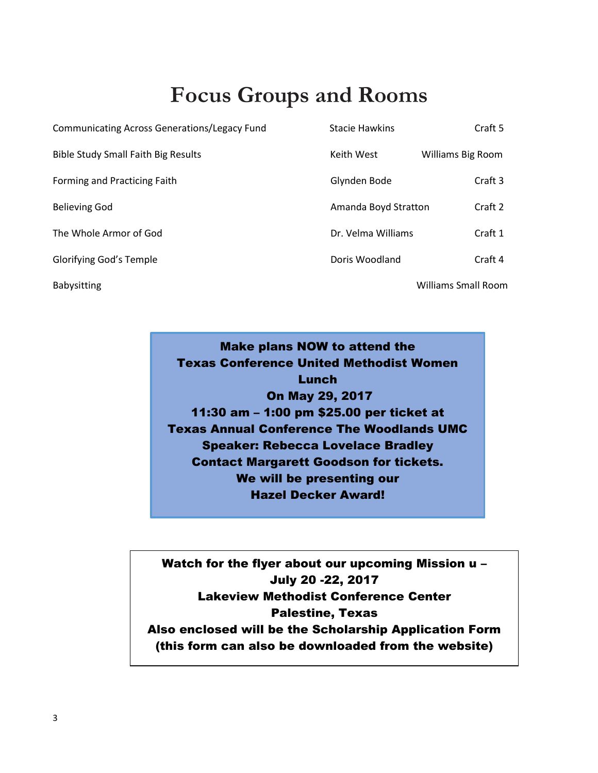# **Focus Groups and Rooms**

| <b>Communicating Across Generations/Legacy Fund</b> | <b>Stacie Hawkins</b> | Craft 5                    |
|-----------------------------------------------------|-----------------------|----------------------------|
| <b>Bible Study Small Faith Big Results</b>          | Keith West            | Williams Big Room          |
| Forming and Practicing Faith                        | Glynden Bode          | Craft 3                    |
| <b>Believing God</b>                                | Amanda Boyd Stratton  | Craft 2                    |
| The Whole Armor of God                              | Dr. Velma Williams    | Craft 1                    |
| Glorifying God's Temple                             | Doris Woodland        | Craft 4                    |
| <b>Babysitting</b>                                  |                       | <b>Williams Small Room</b> |

Make plans NOW to attend the Texas Conference United Methodist Women **Lunch** On May 29, 2017 11:30 am – 1:00 pm \$25.00 per ticket at Texas Annual Conference The Woodlands UMC Speaker: Rebecca Lovelace Bradley Contact Margarett Goodson for tickets. We will be presenting our Hazel Decker Award!

Watch for the flyer about our upcoming Mission u – July 20 -22, 2017 Lakeview Methodist Conference Center Palestine, Texas Also enclosed will be the Scholarship Application Form (this form can also be downloaded from the website)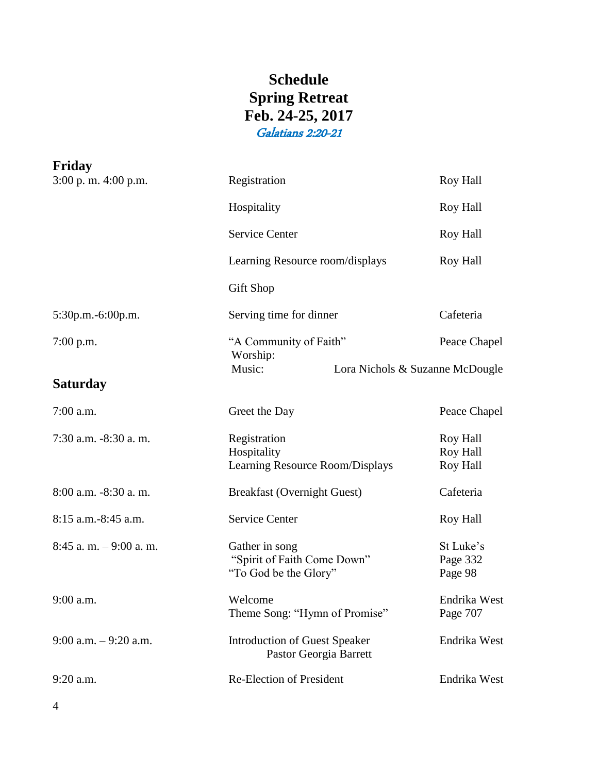## **Schedule Spring Retreat Feb. 24-25, 2017** Galatians 2:20-21

| Registration                                                           | <b>Roy Hall</b>                                |
|------------------------------------------------------------------------|------------------------------------------------|
| Hospitality                                                            | Roy Hall                                       |
| <b>Service Center</b>                                                  | <b>Roy Hall</b>                                |
| Learning Resource room/displays                                        | Roy Hall                                       |
| Gift Shop                                                              |                                                |
| Serving time for dinner                                                | Cafeteria                                      |
| "A Community of Faith"                                                 | Peace Chapel                                   |
| Music:                                                                 |                                                |
|                                                                        |                                                |
| Greet the Day                                                          | Peace Chapel                                   |
| Registration<br>Hospitality<br>Learning Resource Room/Displays         | <b>Roy Hall</b><br>Roy Hall<br><b>Roy Hall</b> |
| <b>Breakfast (Overnight Guest)</b>                                     | Cafeteria                                      |
| <b>Service Center</b>                                                  | Roy Hall                                       |
| Gather in song<br>"Spirit of Faith Come Down"<br>"To God be the Glory" | St Luke's<br>Page 332<br>Page 98               |
| Welcome<br>Theme Song: "Hymn of Promise"                               | Endrika West<br>Page 707                       |
| <b>Introduction of Guest Speaker</b><br>Pastor Georgia Barrett         | Endrika West                                   |
| <b>Re-Election of President</b>                                        | Endrika West                                   |
|                                                                        | Worship:<br>Lora Nichols & Suzanne McDougle    |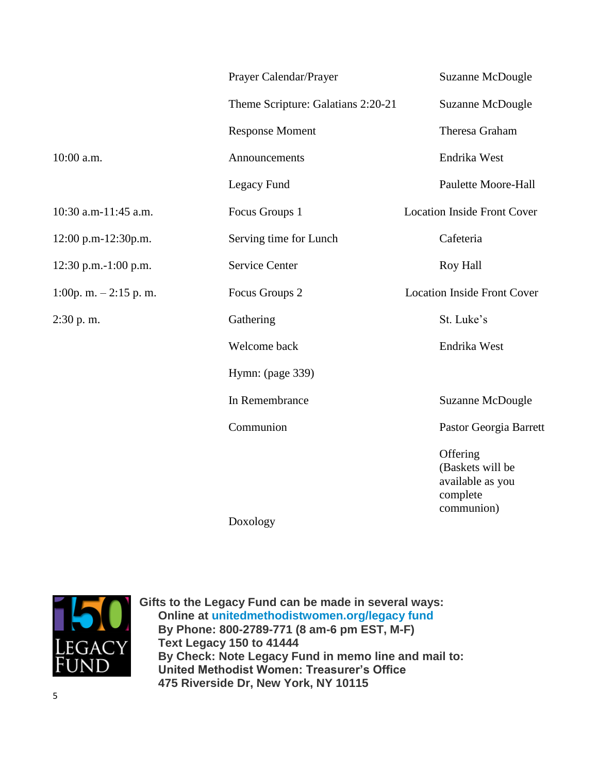|                         | Prayer Calendar/Prayer             | Suzanne McDougle                                                           |
|-------------------------|------------------------------------|----------------------------------------------------------------------------|
|                         | Theme Scripture: Galatians 2:20-21 | <b>Suzanne McDougle</b>                                                    |
|                         | <b>Response Moment</b>             | Theresa Graham                                                             |
| 10:00 a.m.              | Announcements                      | Endrika West                                                               |
|                         | Legacy Fund                        | <b>Paulette Moore-Hall</b>                                                 |
| 10:30 a.m-11:45 a.m.    | Focus Groups 1                     | <b>Location Inside Front Cover</b>                                         |
| 12:00 p.m-12:30p.m.     | Serving time for Lunch             | Cafeteria                                                                  |
| 12:30 p.m.-1:00 p.m.    | <b>Service Center</b>              | <b>Roy Hall</b>                                                            |
| 1:00p. m. $-2:15$ p. m. | Focus Groups 2                     | <b>Location Inside Front Cover</b>                                         |
| 2:30 p.m.               | Gathering                          | St. Luke's                                                                 |
|                         | Welcome back                       | Endrika West                                                               |
|                         | Hymn: (page 339)                   |                                                                            |
|                         | In Remembrance                     | Suzanne McDougle                                                           |
|                         | Communion                          | Pastor Georgia Barrett                                                     |
|                         | Dovolow                            | Offering<br>(Baskets will be<br>available as you<br>complete<br>communion) |

Doxology



**Gifts to the Legacy Fund can be made in several ways: Online at [unitedmethodistwomen.org/legacy fund](http://www.unitedmethodistwomen.org/legacyfund) By Phone: 800-2789-771 (8 am-6 pm EST, M-F) Text Legacy 150 to 41444 By Check: Note Legacy Fund in memo line and mail to: United Methodist Women: Treasurer's Office 475 Riverside Dr, New York, NY 10115**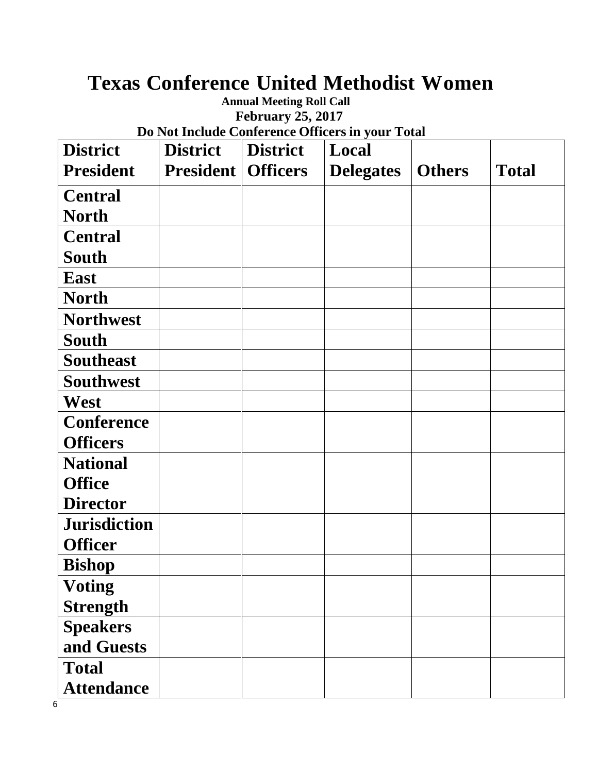# **Texas Conference United Methodist Women**

## **Annual Meeting Roll Call February 25, 2017**

**Do Not Include Conference Officers in your Total**

| <b>District</b>     | <b>District</b>  | <b>District</b> | Local            |               |              |
|---------------------|------------------|-----------------|------------------|---------------|--------------|
| <b>President</b>    | <b>President</b> | <b>Officers</b> | <b>Delegates</b> | <b>Others</b> | <b>Total</b> |
| <b>Central</b>      |                  |                 |                  |               |              |
| <b>North</b>        |                  |                 |                  |               |              |
| <b>Central</b>      |                  |                 |                  |               |              |
| <b>South</b>        |                  |                 |                  |               |              |
| <b>East</b>         |                  |                 |                  |               |              |
| <b>North</b>        |                  |                 |                  |               |              |
| <b>Northwest</b>    |                  |                 |                  |               |              |
| <b>South</b>        |                  |                 |                  |               |              |
| <b>Southeast</b>    |                  |                 |                  |               |              |
| <b>Southwest</b>    |                  |                 |                  |               |              |
| West                |                  |                 |                  |               |              |
| <b>Conference</b>   |                  |                 |                  |               |              |
| <b>Officers</b>     |                  |                 |                  |               |              |
| <b>National</b>     |                  |                 |                  |               |              |
| <b>Office</b>       |                  |                 |                  |               |              |
| <b>Director</b>     |                  |                 |                  |               |              |
| <b>Jurisdiction</b> |                  |                 |                  |               |              |
| <b>Officer</b>      |                  |                 |                  |               |              |
| <b>Bishop</b>       |                  |                 |                  |               |              |
| <b>Voting</b>       |                  |                 |                  |               |              |
| <b>Strength</b>     |                  |                 |                  |               |              |
| <b>Speakers</b>     |                  |                 |                  |               |              |
| and Guests          |                  |                 |                  |               |              |
| <b>Total</b>        |                  |                 |                  |               |              |
| <b>Attendance</b>   |                  |                 |                  |               |              |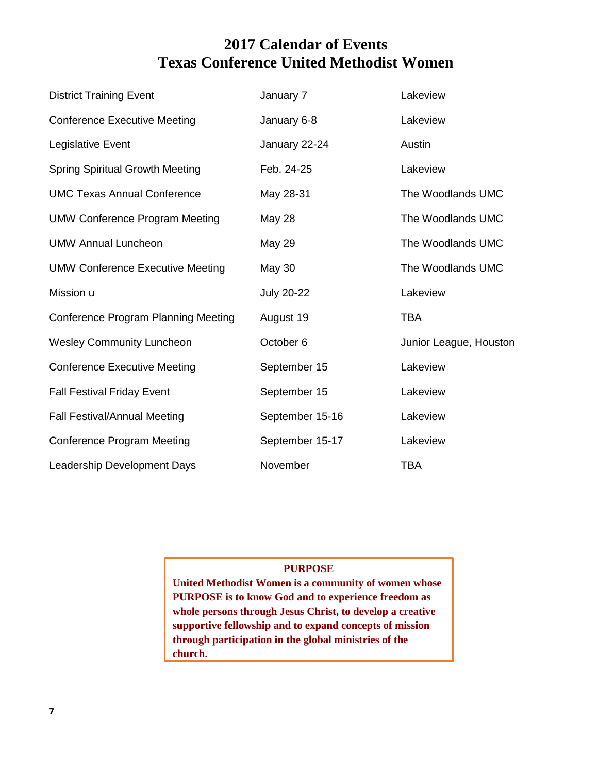## **2017 Calendar of Events Texas Conference United Methodist Women**

| <b>District Training Event</b>             | January 7         | Lakeview               |
|--------------------------------------------|-------------------|------------------------|
| <b>Conference Executive Meeting</b>        | January 6-8       | Lakeview               |
| Legislative Event                          | January 22-24     | Austin                 |
| <b>Spring Spiritual Growth Meeting</b>     | Feb. 24-25        | Lakeview               |
| <b>UMC Texas Annual Conference</b>         | May 28-31         | The Woodlands UMC      |
| <b>UMW Conference Program Meeting</b>      | <b>May 28</b>     | The Woodlands UMC      |
| <b>UMW Annual Luncheon</b>                 | <b>May 29</b>     | The Woodlands UMC      |
| <b>UMW Conference Executive Meeting</b>    | <b>May 30</b>     | The Woodlands UMC      |
| Mission u                                  | <b>July 20-22</b> | Lakeview               |
| <b>Conference Program Planning Meeting</b> | August 19         | <b>TBA</b>             |
| <b>Wesley Community Luncheon</b>           | October 6         | Junior League, Houston |
| <b>Conference Executive Meeting</b>        | September 15      | Lakeview               |
| <b>Fall Festival Friday Event</b>          | September 15      | Lakeview               |
| <b>Fall Festival/Annual Meeting</b>        | September 15-16   | Lakeview               |
| <b>Conference Program Meeting</b>          | September 15-17   | Lakeview               |
| Leadership Development Days                | November          | <b>TBA</b>             |

#### **PURPOSE**

**United Methodist Women is a community of women whose PURPOSE is to know God and to experience freedom as whole persons through Jesus Christ, to develop a creative supportive fellowship and to expand concepts of mission through participation in the global ministries of the church.**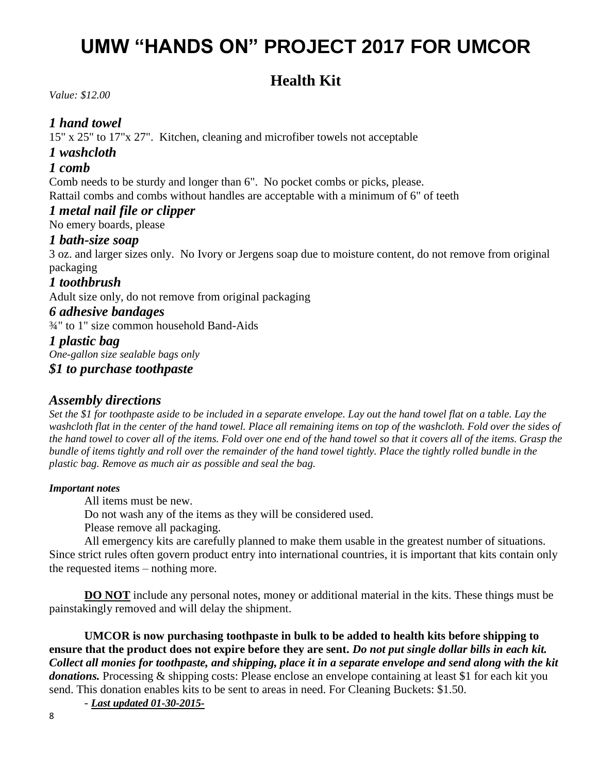# **UMW "HANDS ON" PROJECT 2017 FOR UMCOR**

## **Health Kit**

*Value: \$12.00* 

#### *1 hand towel*

15" x 25" to 17"x 27". Kitchen, cleaning and microfiber towels not acceptable

*1 washcloth* 

#### *1 comb*

Comb needs to be sturdy and longer than 6". No pocket combs or picks, please. Rattail combs and combs without handles are acceptable with a minimum of 6" of teeth

#### *1 metal nail file or clipper*

No emery boards, please

#### *1 bath-size soap*

3 oz. and larger sizes only. No Ivory or Jergens soap due to moisture content, do not remove from original packaging

#### *1 toothbrush*

Adult size only, do not remove from original packaging

#### *6 adhesive bandages*

¾" to 1" size common household Band-Aids

#### *1 plastic bag*

*One-gallon size sealable bags only*

*\$1 to purchase toothpaste*

#### *Assembly directions*

*Set the \$1 for toothpaste aside to be included in a separate envelope. Lay out the hand towel flat on a table. Lay the washcloth flat in the center of the hand towel. Place all remaining items on top of the washcloth. Fold over the sides of the hand towel to cover all of the items. Fold over one end of the hand towel so that it covers all of the items. Grasp the bundle of items tightly and roll over the remainder of the hand towel tightly. Place the tightly rolled bundle in the plastic bag. Remove as much air as possible and seal the bag.*

#### *Important notes*

All items must be new.

Do not wash any of the items as they will be considered used.

Please remove all packaging.

All emergency kits are carefully planned to make them usable in the greatest number of situations. Since strict rules often govern product entry into international countries, it is important that kits contain only the requested items – nothing more.

**DO NOT** include any personal notes, money or additional material in the kits. These things must be painstakingly removed and will delay the shipment.

**UMCOR is now purchasing toothpaste in bulk to be added to health kits before shipping to ensure that the product does not expire before they are sent.** *Do not put single dollar bills in each kit. Collect all monies for toothpaste, and shipping, place it in a separate envelope and send along with the kit donations.* Processing & shipping costs: Please enclose an envelope containing at least \$1 for each kit you send. This donation enables kits to be sent to areas in need. For Cleaning Buckets: \$1.50.

- *Last updated 01-30-2015-*

8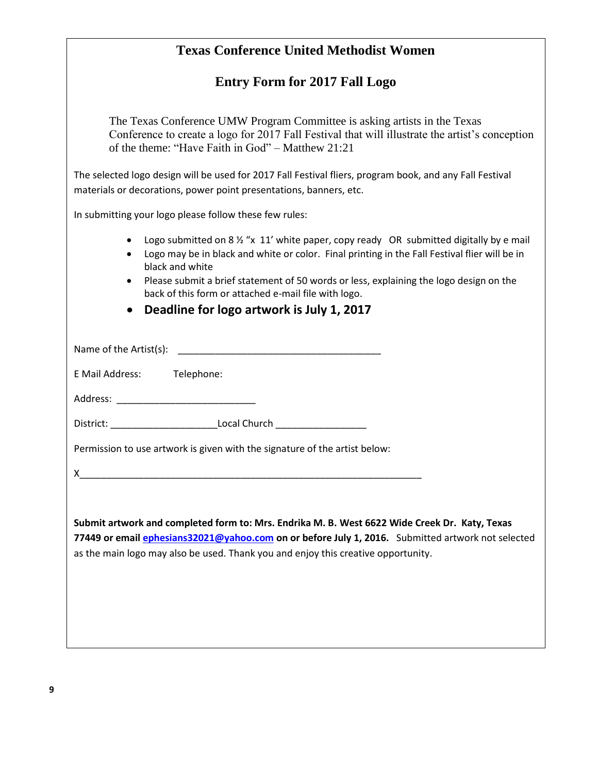| <b>Texas Conference United Methodist Women</b>                                                                                                                                                                                    |  |  |  |  |
|-----------------------------------------------------------------------------------------------------------------------------------------------------------------------------------------------------------------------------------|--|--|--|--|
| <b>Entry Form for 2017 Fall Logo</b>                                                                                                                                                                                              |  |  |  |  |
| The Texas Conference UMW Program Committee is asking artists in the Texas<br>Conference to create a logo for 2017 Fall Festival that will illustrate the artist's conception<br>of the theme: "Have Faith in God" – Matthew 21:21 |  |  |  |  |
| The selected logo design will be used for 2017 Fall Festival fliers, program book, and any Fall Festival<br>materials or decorations, power point presentations, banners, etc.                                                    |  |  |  |  |
| In submitting your logo please follow these few rules:                                                                                                                                                                            |  |  |  |  |
| Logo submitted on 8 1/2 "x 11' white paper, copy ready OR submitted digitally by e mail<br>Logo may be in black and white or color. Final printing in the Fall Festival flier will be in<br>black and white                       |  |  |  |  |
| Please submit a brief statement of 50 words or less, explaining the logo design on the<br>back of this form or attached e-mail file with logo.                                                                                    |  |  |  |  |
| Deadline for logo artwork is July 1, 2017                                                                                                                                                                                         |  |  |  |  |
|                                                                                                                                                                                                                                   |  |  |  |  |
| E Mail Address: Telephone:                                                                                                                                                                                                        |  |  |  |  |
| Address: North Management and Security and Security and Security and Security and Security and Security and Security and Security and Security and Security and Security and Security and Security and Security and Security a    |  |  |  |  |
| District: ________________________________Local Church _________________________                                                                                                                                                  |  |  |  |  |
| Permission to use artwork is given with the signature of the artist below:                                                                                                                                                        |  |  |  |  |
| X.                                                                                                                                                                                                                                |  |  |  |  |
|                                                                                                                                                                                                                                   |  |  |  |  |
| Submit artwork and completed form to: Mrs. Endrika M. B. West 6622 Wide Creek Dr. Katy, Texas<br>77449 or email ephesians32021@yahoo.com on or before July 1, 2016. Submitted artwork not selected                                |  |  |  |  |
| as the main logo may also be used. Thank you and enjoy this creative opportunity.                                                                                                                                                 |  |  |  |  |
|                                                                                                                                                                                                                                   |  |  |  |  |
|                                                                                                                                                                                                                                   |  |  |  |  |
|                                                                                                                                                                                                                                   |  |  |  |  |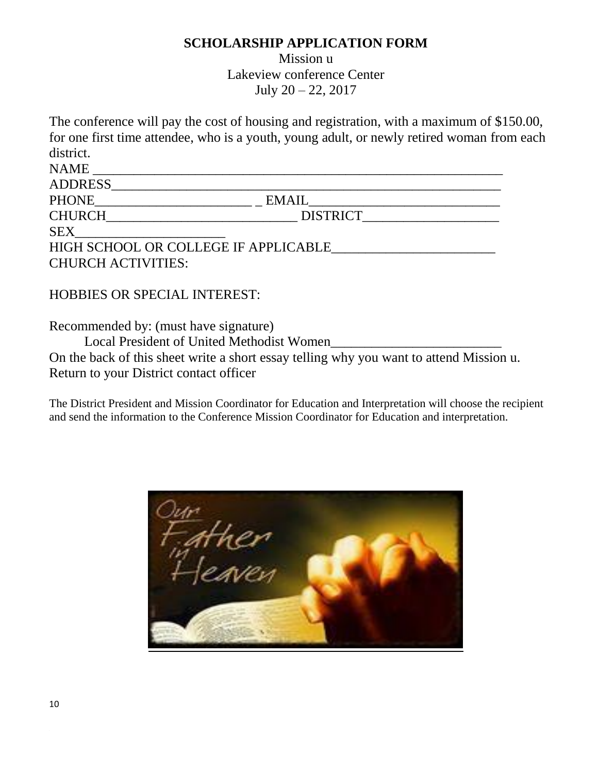#### **SCHOLARSHIP APPLICATION FORM**

Mission u Lakeview conference Center July 20 – 22, 2017

The conference will pay the cost of housing and registration, with a maximum of \$150.00, for one first time attendee, who is a youth, young adult, or newly retired woman from each district.

| <b>NAME</b>               |                                      |  |
|---------------------------|--------------------------------------|--|
| <b>ADDRESS</b>            |                                      |  |
| <b>PHONE</b>              | <b>EMAIL</b>                         |  |
| <b>CHURCH</b>             | <b>DISTRICT</b>                      |  |
| <b>SEX</b>                |                                      |  |
|                           | HIGH SCHOOL OR COLLEGE IF APPLICABLE |  |
| <b>CHURCH ACTIVITIES:</b> |                                      |  |

#### HOBBIES OR SPECIAL INTEREST:

Recommended by: (must have signature)

Local President of United Methodist Women

On the back of this sheet write a short essay telling why you want to attend Mission u. Return to your District contact officer

The District President and Mission Coordinator for Education and Interpretation will choose the recipient and send the information to the Conference Mission Coordinator for Education and interpretation.

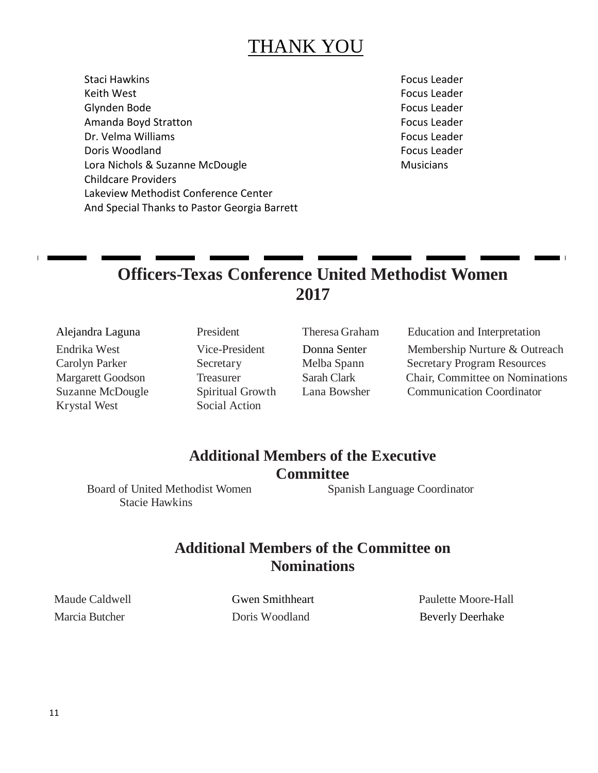# THANK YOU

Staci Hawkins Focus Leader Keith West Focus Leader Glynden Bode Focus Leader Amanda Boyd Stratton **Focus Leader Focus Leader** Dr. Velma Williams Focus Leader Doris Woodland Focus Leader Focus Leader Lora Nichols & Suzanne McDougle Musicians Musicians Childcare Providers Lakeview Methodist Conference Center And Special Thanks to Pastor Georgia Barrett

## **Officers-Texas Conference United Methodist Women 2017**

Krystal West Social Action

Alejandra Laguna President Theresa Graham Education and Interpretation

Endrika West Vice-President Donna Senter Membership Nurture & Outreach Carolyn Parker Secretary Melba Spann Secretary Program Resources Margarett Goodson Treasurer Sarah Clark Chair, Committee on Nominations Suzanne McDougle Spiritual Growth Lana Bowsher Communication Coordinator

## **Additional Members of the Executive Committee**

Stacie Hawkins

Board of United Methodist Women Spanish Language Coordinator

### **Additional Members of the Committee on Nominations**

Maude Caldwell Gwen Smithheart Paulette Moore-Hall Marcia Butcher **Doris Woodland** Beverly Deerhake